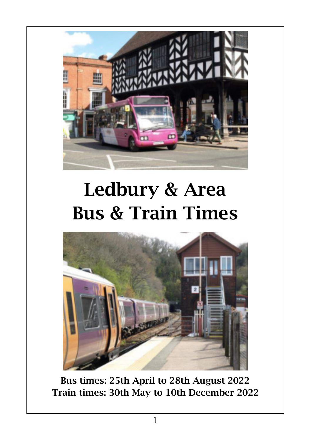

# Ledbury & Area Bus & Train Times



Bus times: 25th April to 28th August 2022 Train times: 30th May to 10th December 2022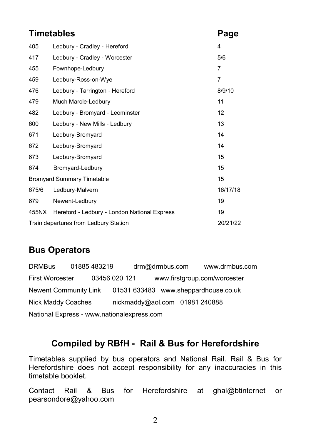#### **Timetables Page**

| 405                                               | Ledbury - Cradley - Hereford                 | 4              |  |  |
|---------------------------------------------------|----------------------------------------------|----------------|--|--|
| 417                                               | Ledbury - Cradley - Worcester                | 5/6            |  |  |
| 455                                               | Fownhope-Ledbury                             | 7              |  |  |
| 459                                               | Ledbury-Ross-on-Wye                          | $\overline{7}$ |  |  |
| 476                                               | Ledbury - Tarrington - Hereford              | 8/9/10         |  |  |
| 479                                               | Much Marcle-Ledbury                          | 11             |  |  |
| 482                                               | Ledbury - Bromyard - Leominster              | 12             |  |  |
| 600                                               | Ledbury - New Mills - Ledbury                | 13             |  |  |
| 671                                               | Ledbury-Bromyard                             | 14             |  |  |
| 672                                               | Ledbury-Bromyard                             | 14             |  |  |
| 673                                               | Ledbury-Bromyard                             | 15             |  |  |
| 674                                               | Bromyard-Ledbury                             | 15             |  |  |
|                                                   | <b>Bromyard Summary Timetable</b>            | 15             |  |  |
| 675/6                                             | Ledbury-Malvern                              | 16/17/18       |  |  |
| 679                                               | Newent-Ledbury                               | 19             |  |  |
| 455NX                                             | Hereford - Ledbury - London National Express | 19             |  |  |
| 20/21/22<br>Train departures from Ledbury Station |                                              |                |  |  |

#### **Bus Operators**

DRMBus 01885 483219 drm@drmbus.com www.drmbus.com First Worcester 03456 020 121 www.firstgroup.com/worcester Newent Community Link 01531 633483 www.sheppardhouse.co.uk Nick Maddy Coaches nickmaddy@aol.com 01981 240888 National Express - www.nationalexpress.com

#### **Compiled by RBfH - Rail & Bus for Herefordshire**

Timetables supplied by bus operators and National Rail. Rail & Bus for Herefordshire does not accept responsibility for any inaccuracies in this timetable booklet.

Contact Rail & Bus for Herefordshire at ghal@btinternet or pearsondore@yahoo.com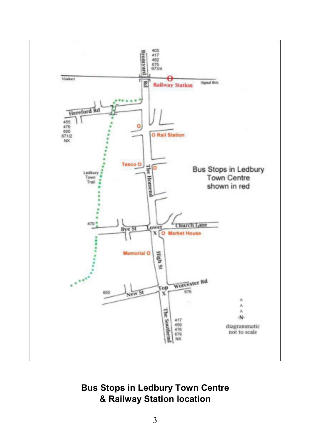

**Bus Stops in Ledbury Town Centre & Railway Station location**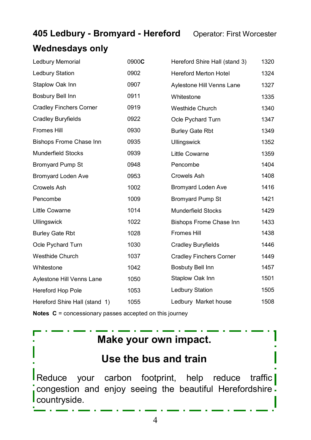#### **405 Ledbury - Bromyard - Hereford** Operator: First Worcester

### **Wednesdays only**

| Ledbury Memorial               | 0900C | Hereford Shire Hall (stand 3)  | 1320 |
|--------------------------------|-------|--------------------------------|------|
| Ledbury Station                | 0902  | <b>Hereford Merton Hotel</b>   | 1324 |
| Staplow Oak Inn                | 0907  | Aylestone Hill Venns Lane      | 1327 |
| Bosbury Bell Inn               | 0911  | Whitestone                     | 1335 |
| <b>Cradley Finchers Corner</b> | 0919  | Westhide Church                | 1340 |
| Cradley Buryfields             | 0922  | Ocle Pychard Turn              | 1347 |
| <b>Fromes Hill</b>             | 0930  | <b>Burley Gate Rbt</b>         | 1349 |
| <b>Bishops Frome Chase Inn</b> | 0935  | <b>Ullingswick</b>             | 1352 |
| <b>Munderfield Stocks</b>      | 0939  | Little Cowarne                 | 1359 |
| <b>Bromyard Pump St</b>        | 0948  | Pencombe                       | 1404 |
| <b>Bromyard Loden Ave</b>      | 0953  | Crowels Ash                    | 1408 |
| Crowels Ash                    | 1002  | <b>Bromyard Loden Ave</b>      | 1416 |
| Pencombe                       | 1009  | <b>Bromyard Pump St</b>        | 1421 |
| Little Cowarne                 | 1014  | <b>Munderfield Stocks</b>      | 1429 |
| <b>Ullingswick</b>             | 1022  | Bishops Frome Chase Inn        | 1433 |
| <b>Burley Gate Rbt</b>         | 1028  | <b>Fromes Hill</b>             | 1438 |
| Ocle Pychard Turn              | 1030  | Cradley Buryfields             | 1446 |
| <b>Westhide Church</b>         | 1037  | <b>Cradley Finchers Corner</b> | 1449 |
| Whitestone                     | 1042  | Bosbuty Bell Inn               | 1457 |
| Aylestone Hill Venns Lane      | 1050  | Staplow Oak Inn                | 1501 |
| Hereford Hop Pole              | 1053  | Ledbury Station                | 1505 |
| Hereford Shire Hall (stand 1)  | 1055  | Ledbury Market house           | 1508 |

**Notes C** = concessionary passes accepted on this journey

### **Make your own impact.**

### **Use the bus and train**

Reduce your carbon footprint, help reduce traffic congestion and enjoy seeing the beautiful Herefordshire. countryside.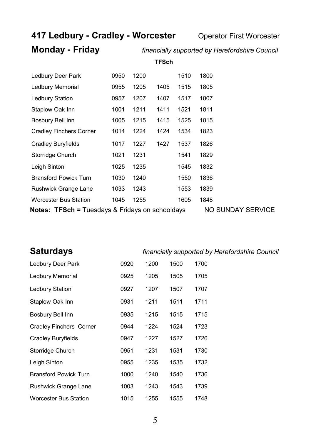**417 Ledbury - Cradley - Worcester** Operator First Worcester

### **Monday - Friday** *financially supported by Herefordshire Council*

**TFSch**

| Ledbury Deer Park                                          | 0950 | 1200              |      | 1510 | 1800 |
|------------------------------------------------------------|------|-------------------|------|------|------|
| Ledbury Memorial                                           | 0955 | 1205              | 1405 | 1515 | 1805 |
| Ledbury Station                                            | 0957 | 1207              | 1407 | 1517 | 1807 |
| Staplow Oak Inn                                            | 1001 | 1211              | 1411 | 1521 | 1811 |
| Bosbury Bell Inn                                           | 1005 | 1215              | 1415 | 1525 | 1815 |
| Cradley Finchers Corner                                    | 1014 | 1224              | 1424 | 1534 | 1823 |
| Cradley Buryfields                                         | 1017 | 1227              | 1427 | 1537 | 1826 |
| Storridge Church                                           | 1021 | 1231              |      | 1541 | 1829 |
| Leigh Sinton                                               | 1025 | 1235              |      | 1545 | 1832 |
| <b>Bransford Powick Turn</b>                               | 1030 | 1240              |      | 1550 | 1836 |
| Rushwick Grange Lane                                       | 1033 | 1243              |      | 1553 | 1839 |
| <b>Worcester Bus Station</b>                               | 1045 | 1255              |      | 1605 | 1848 |
| <b>Notes: TFSch = Tuesdays &amp; Fridays on schooldays</b> |      | NO SUNDAY SERVICE |      |      |      |

| <b>Saturdays</b>               |      |      |      | financially supported by Herefordshire Council |
|--------------------------------|------|------|------|------------------------------------------------|
| Ledbury Deer Park              | 0920 | 1200 | 1500 | 1700                                           |
| Ledbury Memorial               | 0925 | 1205 | 1505 | 1705                                           |
| Ledbury Station                | 0927 | 1207 | 1507 | 1707                                           |
| Staplow Oak Inn                | 0931 | 1211 | 1511 | 1711                                           |
| Bosbury Bell Inn               | 0935 | 1215 | 1515 | 1715                                           |
| <b>Cradley Finchers Corner</b> | 0944 | 1224 | 1524 | 1723                                           |
| Cradley Buryfields             | 0947 | 1227 | 1527 | 1726                                           |
| Storridge Church               | 0951 | 1231 | 1531 | 1730                                           |
| Leigh Sinton                   | 0955 | 1235 | 1535 | 1732                                           |
| <b>Bransford Powick Turn</b>   | 1000 | 1240 | 1540 | 1736                                           |
| Rushwick Grange Lane           | 1003 | 1243 | 1543 | 1739                                           |
| <b>Worcester Bus Station</b>   | 1015 | 1255 | 1555 | 1748                                           |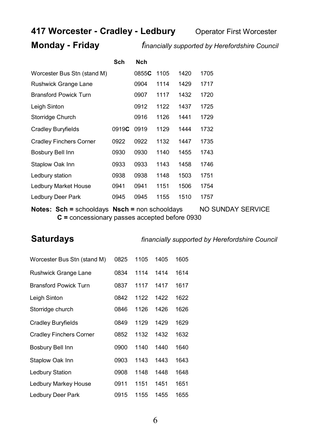#### **417 Worcester - Cradley - Ledbury** Operator First Worcester

**Monday - Friday** *financially supported by Herefordshire Council*

|                              | Sch   | <b>Nch</b> |      |      |      |
|------------------------------|-------|------------|------|------|------|
| Worcester Bus Stn (stand M)  |       | 0855C      | 1105 | 1420 | 1705 |
| Rushwick Grange Lane         |       | 0904       | 1114 | 1429 | 1717 |
| <b>Bransford Powick Turn</b> |       | 0907       | 1117 | 1432 | 1720 |
| Leigh Sinton                 |       | 0912       | 1122 | 1437 | 1725 |
| Storridge Church             |       | 0916       | 1126 | 1441 | 1729 |
| <b>Cradley Buryfields</b>    | 0919C | 0919       | 1129 | 1444 | 1732 |
| Cradley Finchers Corner      | 0922  | 0922       | 1132 | 1447 | 1735 |
| Bosbury Bell Inn             | 0930  | 0930       | 1140 | 1455 | 1743 |
| Staplow Oak Inn              | 0933  | 0933       | 1143 | 1458 | 1746 |
| Ledbury station              | 0938  | 0938       | 1148 | 1503 | 1751 |
| Ledbury Market House         | 0941  | 0941       | 1151 | 1506 | 1754 |
| Ledbury Deer Park            | 0945  | 0945       | 1155 | 1510 | 1757 |

**Notes: Sch =** schooldays **Nsch = non schooldays** NO SUNDAY SERVICE **C =** concessionary passes accepted before 0930

**Saturdays** *financially supported by Herefordshire Council*

| Worcester Bus Stn (stand M)    | 0825 | 1105 | 1405 | 1605 |
|--------------------------------|------|------|------|------|
| Rushwick Grange Lane           | 0834 | 1114 | 1414 | 1614 |
| <b>Bransford Powick Turn</b>   | 0837 | 1117 | 1417 | 1617 |
| Leigh Sinton                   | 0842 | 1122 | 1422 | 1622 |
| Storridge church               | 0846 | 1126 | 1426 | 1626 |
| Cradley Buryfields             | 0849 | 1129 | 1429 | 1629 |
| <b>Cradley Finchers Corner</b> | 0852 | 1132 | 1432 | 1632 |
| Bosbury Bell Inn               | 0900 | 1140 | 1440 | 1640 |
| Staplow Oak Inn                | 0903 | 1143 | 1443 | 1643 |
| <b>Ledbury Station</b>         | 0908 | 1148 | 1448 | 1648 |
| Ledbury Markey House           | 0911 | 1151 | 1451 | 1651 |
| Ledbury Deer Park              | 0915 | 1155 | 1455 | 1655 |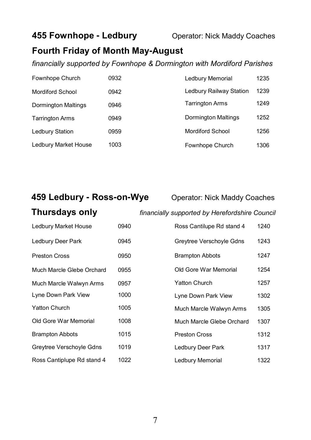#### **455 Fownhope - Ledbury Conducts** Operator: Nick Maddy Coaches

#### **Fourth Friday of Month May-August**

*financially supported by Fownhope & Dormington with Mordiford Parishes*

| Fownhope Church            | 0932 | Ledbury Memorial           | 1235 |
|----------------------------|------|----------------------------|------|
| <b>Mordiford School</b>    | 0942 | Ledbury Railway Station    | 1239 |
| <b>Dormington Maltings</b> | 0946 | <b>Tarrington Arms</b>     | 1249 |
| <b>Tarrington Arms</b>     | 0949 | <b>Dormington Maltings</b> | 1252 |
| Ledbury Station            | 0959 | <b>Mordiford School</b>    | 1256 |
| Ledbury Market House       | 1003 | Fownhope Church            | 1306 |

#### **459 Ledbury - Ross-on-Wye** Operator: Nick Maddy Coaches

**Thursdays only** *financially supported by Herefordshire Council*

| Ledbury Market House       | 0940 | Ross Cantilupe Rd stand 4 | 1240 |
|----------------------------|------|---------------------------|------|
| Ledbury Deer Park          | 0945 | Greytree Verschoyle Gdns  | 1243 |
| <b>Preston Cross</b>       | 0950 | <b>Brampton Abbots</b>    | 1247 |
| Much Marcle Glebe Orchard  | 0955 | Old Gore War Memorial     | 1254 |
| Much Marcle Walwyn Arms    | 0957 | <b>Yatton Church</b>      | 1257 |
| Lyne Down Park View        | 1000 | Lyne Down Park View       | 1302 |
| <b>Yatton Church</b>       | 1005 | Much Marcle Walwyn Arms   | 1305 |
| Old Gore War Memorial      | 1008 | Much Marcle Glebe Orchard | 1307 |
| <b>Brampton Abbots</b>     | 1015 | <b>Preston Cross</b>      | 1312 |
| Greytree Verschoyle Gdns   | 1019 | Ledbury Deer Park         | 1317 |
| Ross Cantiplupe Rd stand 4 | 1022 | Ledbury Memorial          | 1322 |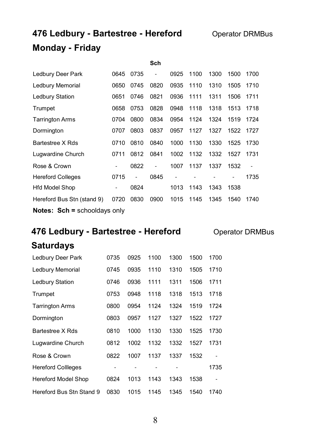### **476 Ledbury - Bartestree - Hereford** Operator DRMBus **Monday - Friday**

|                                       |                |      | Sch            |      |      |      |      |                          |
|---------------------------------------|----------------|------|----------------|------|------|------|------|--------------------------|
| Ledbury Deer Park                     | 0645           | 0735 | $\overline{a}$ | 0925 | 1100 | 1300 | 1500 | 1700                     |
| Ledbury Memorial                      | 0650           | 0745 | 0820           | 0935 | 1110 | 1310 | 1505 | 1710                     |
| Ledbury Station                       | 0651           | 0746 | 0821           | 0936 | 1111 | 1311 | 1506 | 1711                     |
| Trumpet                               | 0658           | 0753 | 0828           | 0948 | 1118 | 1318 | 1513 | 1718                     |
| <b>Tarrington Arms</b>                | 0704           | 0800 | 0834           | 0954 | 1124 | 1324 | 1519 | 1724                     |
| Dormington                            | 0707           | 0803 | 0837           | 0957 | 1127 | 1327 | 1522 | 1727                     |
| Bartestree X Rds                      | 0710           | 0810 | 0840           | 1000 | 1130 | 1330 | 1525 | 1730                     |
| Lugwardine Church                     | 0711           | 0812 | 0841           | 1002 | 1132 | 1332 | 1527 | 1731                     |
| Rose & Crown                          | ٠              | 0822 | $\overline{a}$ | 1007 | 1137 | 1337 | 1532 | $\overline{\phantom{a}}$ |
| <b>Hereford Colleges</b>              | 0715           | ٠    | 0845           |      |      |      |      | 1735                     |
| <b>Hfd Model Shop</b>                 | $\overline{a}$ | 0824 |                | 1013 | 1143 | 1343 | 1538 |                          |
| Hereford Bus Stn (stand 9)            | 0720           | 0830 | 0900           | 1015 | 1145 | 1345 | 1540 | 1740                     |
| <b>Notes:</b> $Sch =$ schooldays only |                |      |                |      |      |      |      |                          |

### **476 Ledbury - Bartestree - Hereford <b>Operator DRMBus**

#### **Saturdays**

| Ledbury Deer Park          | 0735 | 0925 | 1100 | 1300 | 1500 | 1700 |
|----------------------------|------|------|------|------|------|------|
| Ledbury Memorial           | 0745 | 0935 | 1110 | 1310 | 1505 | 1710 |
| <b>Ledbury Station</b>     | 0746 | 0936 | 1111 | 1311 | 1506 | 1711 |
| Trumpet                    | 0753 | 0948 | 1118 | 1318 | 1513 | 1718 |
| <b>Tarrington Arms</b>     | 0800 | 0954 | 1124 | 1324 | 1519 | 1724 |
| Dormington                 | 0803 | 0957 | 1127 | 1327 | 1522 | 1727 |
| Bartestree X Rds           | 0810 | 1000 | 1130 | 1330 | 1525 | 1730 |
| Lugwardine Church          | 0812 | 1002 | 1132 | 1332 | 1527 | 1731 |
| Rose & Crown               | 0822 | 1007 | 1137 | 1337 | 1532 |      |
| <b>Hereford Collleges</b>  |      |      |      |      |      | 1735 |
| <b>Hereford Model Shop</b> | 0824 | 1013 | 1143 | 1343 | 1538 |      |
| Hereford Bus Stn Stand 9   | 0830 | 1015 | 1145 | 1345 | 1540 | 1740 |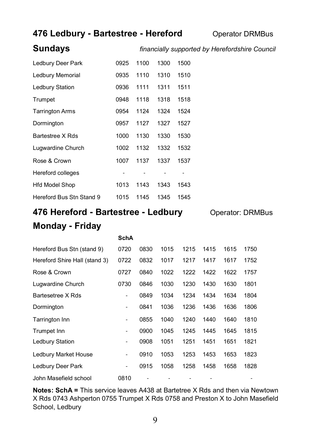#### **476 Ledbury - Bartestree - Hereford Operator DRMBus**

#### **Sundays** *financially supported by Herefordshire Council*

| Ledbury Deer Park        | 0925 | 1100 | 1300 | 1500 |
|--------------------------|------|------|------|------|
| Ledbury Memorial         | 0935 | 1110 | 1310 | 1510 |
| Ledbury Station          | 0936 | 1111 | 1311 | 1511 |
| Trumpet                  | 0948 | 1118 | 1318 | 1518 |
| <b>Tarrington Arms</b>   | 0954 | 1124 | 1324 | 1524 |
| Dormington               | 0957 | 1127 | 1327 | 1527 |
| Bartestree X Rds         | 1000 | 1130 | 1330 | 1530 |
| Lugwardine Church        | 1002 | 1132 | 1332 | 1532 |
| Rose & Crown             | 1007 | 1137 | 1337 | 1537 |
| Hereford colleges        |      |      |      |      |
| <b>Hfd Model Shop</b>    | 1013 | 1143 | 1343 | 1543 |
| Hereford Bus Stn Stand 9 | 1015 | 1145 | 1345 | 1545 |

### **476 Hereford - Bartestree - Ledbury Operator: DRMBus Monday - Friday**

|                               | <b>SchA</b>                  |      |      |      |      |      |      |
|-------------------------------|------------------------------|------|------|------|------|------|------|
| Hereford Bus Stn (stand 9)    | 0720                         | 0830 | 1015 | 1215 | 1415 | 1615 | 1750 |
| Hereford Shire Hall (stand 3) | 0722                         | 0832 | 1017 | 1217 | 1417 | 1617 | 1752 |
| Rose & Crown                  | 0727                         | 0840 | 1022 | 1222 | 1422 | 1622 | 1757 |
| Lugwardine Church             | 0730                         | 0846 | 1030 | 1230 | 1430 | 1630 | 1801 |
| Bartesetree X Rds             | -                            | 0849 | 1034 | 1234 | 1434 | 1634 | 1804 |
| Dormington                    | $\overline{\phantom{a}}$     | 0841 | 1036 | 1236 | 1436 | 1636 | 1806 |
| Tarrington Inn                | $\overline{\phantom{0}}$     | 0855 | 1040 | 1240 | 1440 | 1640 | 1810 |
| Trumpet Inn                   | $\overline{\phantom{0}}$     | 0900 | 1045 | 1245 | 1445 | 1645 | 1815 |
| Ledbury Station               | ٠                            | 0908 | 1051 | 1251 | 1451 | 1651 | 1821 |
| Ledbury Market House          | -                            | 0910 | 1053 | 1253 | 1453 | 1653 | 1823 |
| Ledbury Deer Park             | $\qquad \qquad \blacksquare$ | 0915 | 1058 | 1258 | 1458 | 1658 | 1828 |
| John Masefield school         | 0810                         |      |      |      |      |      |      |

**Notes: SchA =** This service leaves A438 at Bartetree X Rds and then via Newtown X Rds 0743 Ashperton 0755 Trumpet X Rds 0758 and Preston X to John Masefield School, Ledbury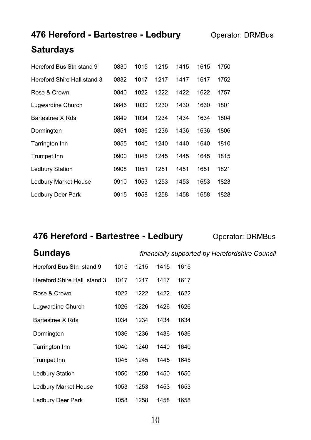### **476 Hereford - Bartestree - Ledbury Operator: DRMBus**

#### **Saturdays**

| Hereford Bus Stn stand 9    | 0830 | 1015 | 1215 | 1415 | 1615 | 1750 |
|-----------------------------|------|------|------|------|------|------|
| Hereford Shire Hall stand 3 | 0832 | 1017 | 1217 | 1417 | 1617 | 1752 |
| Rose & Crown                | 0840 | 1022 | 1222 | 1422 | 1622 | 1757 |
| Lugwardine Church           | 0846 | 1030 | 1230 | 1430 | 1630 | 1801 |
| Bartestree X Rds            | 0849 | 1034 | 1234 | 1434 | 1634 | 1804 |
| Dormington                  | 0851 | 1036 | 1236 | 1436 | 1636 | 1806 |
| <b>Tarrington Inn</b>       | 0855 | 1040 | 1240 | 1440 | 1640 | 1810 |
| Trumpet Inn                 | 0900 | 1045 | 1245 | 1445 | 1645 | 1815 |
| Ledbury Station             | 0908 | 1051 | 1251 | 1451 | 1651 | 1821 |
| Ledbury Market House        | 0910 | 1053 | 1253 | 1453 | 1653 | 1823 |
| Ledbury Deer Park           | 0915 | 1058 | 1258 | 1458 | 1658 | 1828 |

#### **476 Hereford - Bartestree - Ledbury Operator: DRMBus**

| Hereford Bus Stn stand 9    | 1015 | 1215 | 1415 | 1615 |
|-----------------------------|------|------|------|------|
| Hereford Shire Hall stand 3 | 1017 | 1217 | 1417 | 1617 |
| Rose & Crown                | 1022 | 1222 | 1422 | 1622 |
| Lugwardine Church           | 1026 | 1226 | 1426 | 1626 |
| Bartestree X Rds            | 1034 | 1234 | 1434 | 1634 |
| Dormington                  | 1036 | 1236 | 1436 | 1636 |
|                             |      |      |      |      |

**Sundays** *financially supported by Herefordshire Council*

| Bartestree X Rds     | 1034 | 1234 | 1434 | 1634 |
|----------------------|------|------|------|------|
| Dormington           | 1036 | 1236 | 1436 | 1636 |
| Tarrington Inn       | 1040 | 1240 | 1440 | 1640 |
| Trumpet Inn          | 1045 | 1245 | 1445 | 1645 |
| Ledbury Station      | 1050 | 1250 | 1450 | 1650 |
| Ledbury Market House | 1053 | 1253 | 1453 | 1653 |
| Ledbury Deer Park    | 1058 | 1258 | 1458 | 1658 |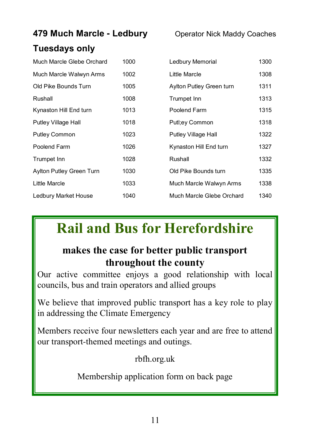| 479 Much Marcle - Ledbury |      | <b>Operator Nick Maddy Coaches</b> |      |  |
|---------------------------|------|------------------------------------|------|--|
| <b>Tuesdays only</b>      |      |                                    |      |  |
| Much Marcle Glebe Orchard | 1000 | Ledbury Memorial                   | 1300 |  |
| Much Marcle Walwyn Arms   | 1002 | Little Marcle                      | 1308 |  |
| Old Pike Bounds Turn      | 1005 | Aylton Putley Green turn           | 1311 |  |
| Rushall                   | 1008 | Trumpet Inn                        | 1313 |  |
| Kynaston Hill End turn    | 1013 | Poolend Farm                       | 1315 |  |
| Putley Village Hall       | 1018 | Putl;ey Common                     | 1318 |  |
| <b>Putley Common</b>      | 1023 | Putley Village Hall                | 1322 |  |
| Poolend Farm              | 1026 | Kynaston Hill End turn             | 1327 |  |
| Trumpet Inn               | 1028 | Rushall                            | 1332 |  |
| Aylton Putley Green Turn  | 1030 | Old Pike Bounds turn               | 1335 |  |
| Little Marcle             | 1033 | Much Marcle Walwyn Arms            | 1338 |  |
| Ledbury Market House      | 1040 | Much Marcle Glebe Orchard          | 1340 |  |

## **Rail and Bus for Herefordshire**

### **makes the case for better public transport throughout the county**

Our active committee enjoys a good relationship with local councils, bus and train operators and allied groups

We believe that improved public transport has a key role to play in addressing the Climate Emergency

Members receive four newsletters each year and are free to attend our transport-themed meetings and outings.

rbfh.org.uk

Membership application form on back page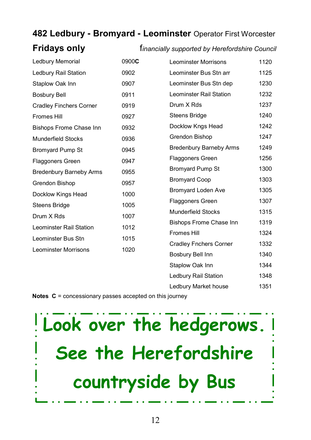#### **482 Ledbury - Bromyard - Leominster** Operator First Worcester

#### **Fridays only** f*inancially supported by Herefordshire Council*

| Ledbury Memorial               | 0900C | <b>Leominster Morrisons</b>    | 1120 |
|--------------------------------|-------|--------------------------------|------|
| Ledbury Rail Station           | 0902  | Leominster Bus Stn arr         | 1125 |
| Staplow Oak Inn                | 0907  | Leominster Bus Stn dep         | 1230 |
| <b>Bosbury Bell</b>            | 0911  | Leominster Rail Station        | 1232 |
| <b>Cradley Finchers Corner</b> | 0919  | Drum X Rds                     | 1237 |
| Fromes Hill                    | 0927  | Steens Bridge                  | 1240 |
| <b>Bishops Frome Chase Inn</b> | 0932  | Docklow Kngs Head              | 1242 |
| <b>Munderfield Stocks</b>      | 0936  | Grendon Bishop                 | 1247 |
| <b>Bromyard Pump St</b>        | 0945  | <b>Bredenbury Barneby Arms</b> | 1249 |
| <b>Flaggoners Green</b>        | 0947  | Flaggoners Green               | 1256 |
| <b>Bredenbury Barneby Arms</b> | 0955  | <b>Bromyard Pump St</b>        | 1300 |
| Grendon Bishop                 | 0957  | <b>Bromyard Coop</b>           | 1303 |
| Docklow Kings Head             | 1000  | <b>Bromyard Loden Ave</b>      | 1305 |
| Steens Bridge                  | 1005  | Flaggoners Green               | 1307 |
| Drum X Rds                     | 1007  | <b>Munderfield Stocks</b>      | 1315 |
| Leominster Rail Station        | 1012  | Bishops Frome Chase Inn        | 1319 |
| Leominster Bus Stn             | 1015  | <b>Fromes Hill</b>             | 1324 |
| <b>Leominster Morrisons</b>    | 1020  | <b>Cradley Fnchers Corner</b>  | 1332 |
|                                |       | Bosbury Bell Inn               | 1340 |
|                                |       | Staplow Oak Inn                | 1344 |
|                                |       | Ledbury Rail Station           | 1348 |
|                                |       | Ledbury Market house           | 1351 |

**Notes C** = concessionary passes accepted on this journey

# **Look over the hedgerows. See the Herefordshire countryside by Bus**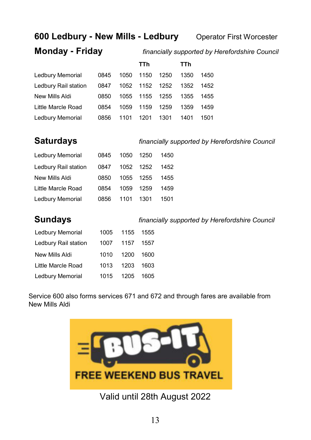#### **600 Ledbury - New Mills - Ledbury Operator First Worcester**

#### **Monday - Friday** *financially supported by Herefordshire Council*

|                      |      |      | TTh  |      | TTh  |      |
|----------------------|------|------|------|------|------|------|
| Ledbury Memorial     | 0845 | 1050 | 1150 | 1250 | 1350 | 1450 |
| Ledbury Rail station | 0847 | 1052 | 1152 | 1252 | 1352 | 1452 |
| New Mills Aldi       | 0850 | 1055 | 1155 | 1255 | 1355 | 1455 |
| Little Marcle Road   | 0854 | 1059 | 1159 | 1259 | 1359 | 1459 |
| Ledbury Memorial     | 0856 | 1101 | 1201 | 1301 | 1401 | 1501 |

| <b>Saturdays</b>     |      |      |      | financially supported by Herefordshire Counci |  |  |  |
|----------------------|------|------|------|-----------------------------------------------|--|--|--|
| Ledbury Memorial     | 0845 | 1050 | 1250 | 1450                                          |  |  |  |
| Ledbury Rail station | 0847 | 1052 | 1252 | 1452                                          |  |  |  |
| New Mills Aldi       | 0850 | 1055 | 1255 | 1455                                          |  |  |  |
| Little Marcle Road   | 0854 | 1059 | 1259 | 1459                                          |  |  |  |
| Ledbury Memorial     | 0856 | 1101 | 1301 | 1501                                          |  |  |  |
|                      |      |      |      |                                               |  |  |  |
| <b>A</b>             |      |      |      |                                               |  |  |  |

| <b>Sundays</b>       |      |      | financially supported by Herefordshire Councia |
|----------------------|------|------|------------------------------------------------|
| Ledbury Memorial     | 1005 | 1155 | 1555                                           |
| Ledbury Rail station | 1007 | 1157 | 1557                                           |
| New Mills Aldi       | 1010 | 1200 | 1600                                           |
| Little Marcle Road   | 1013 | 1203 | 1603                                           |
| Ledbury Memorial     | 1015 | 1205 | 1605                                           |
|                      |      |      |                                                |

Service 600 also forms services 671 and 672 and through fares are available from New Mills Aldi



Valid until 28th August 2022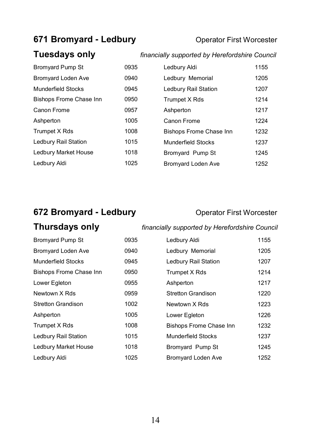#### **671 Bromyard - Ledbury <b>Conservation** Operator First Worcester

### **Tuesdays only** *financially supported by Herefordshire Council*

| <b>Bromyard Pump St</b>        | 0935 | Ledbury Aldi                   | 1155 |
|--------------------------------|------|--------------------------------|------|
| <b>Bromyard Loden Ave</b>      | 0940 | Ledbury Memorial               | 1205 |
| Munderfield Stocks             | 0945 | Ledbury Rail Station           | 1207 |
| <b>Bishops Frome Chase Inn</b> | 0950 | Trumpet X Rds                  | 1214 |
| Canon Frome                    | 0957 | Ashperton                      | 1217 |
| Ashperton                      | 1005 | Canon Frome                    | 1224 |
| Trumpet X Rds                  | 1008 | <b>Bishops Frome Chase Inn</b> | 1232 |
| Ledbury Rail Station           | 1015 | Munderfield Stocks             | 1237 |
| Ledbury Market House           | 1018 | Bromyard Pump St               | 1245 |
| Ledbury Aldi                   | 1025 | <b>Bromyard Loden Ave</b>      | 1252 |
|                                |      |                                |      |

### **672 Bromyard - Ledbury <b>Conservation** Operator First Worcester

| <b>Thursdays only</b> |  |  |
|-----------------------|--|--|
|-----------------------|--|--|

#### **Thursdays only** *financially supported by Herefordshire Council*

| <b>Bromyard Pump St</b>        | 0935 | Ledbury Aldi                   | 1155 |
|--------------------------------|------|--------------------------------|------|
| Bromyard Loden Ave             | 0940 | Ledbury Memorial               | 1205 |
| <b>Munderfield Stocks</b>      | 0945 | Ledbury Rail Station           | 1207 |
| <b>Bishops Frome Chase Inn</b> | 0950 | Trumpet X Rds                  | 1214 |
| Lower Egleton                  | 0955 | Ashperton                      | 1217 |
| Newtown X Rds                  | 0959 | <b>Stretton Grandison</b>      | 1220 |
| <b>Stretton Grandison</b>      | 1002 | Newtown X Rds                  | 1223 |
| Ashperton                      | 1005 | Lower Egleton                  | 1226 |
| Trumpet X Rds                  | 1008 | <b>Bishops Frome Chase Inn</b> | 1232 |
| Ledbury Rail Station           | 1015 | <b>Munderfield Stocks</b>      | 1237 |
| Ledbury Market House           | 1018 | Bromyard Pump St               | 1245 |
| Ledbury Aldi                   | 1025 | <b>Bromyard Loden Ave</b>      | 1252 |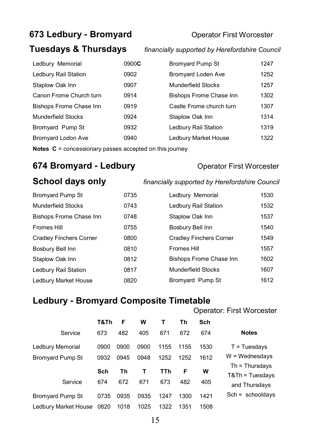### **673 Ledbury - Bromyard <b>Conservant** Operator First Worcester

#### **Tuesdays & Thursdays** *financially supported by Herefordshire Council*

| 0900 <b>C</b> | <b>Bromyard Pump St</b>        | 1247 |
|---------------|--------------------------------|------|
| 0902          | <b>Bromyard Loden Ave</b>      | 1252 |
| 0907          | <b>Munderfield Stocks</b>      | 1257 |
| 0914          | <b>Bishops Frome Chase Inn</b> | 1302 |
| 0919          | Castle Frome church turn       | 1307 |
| 0924          | Staplow Oak Inn                | 1314 |
| 0932          | Ledbury Rail Station           | 1319 |
| 0940          | Ledbury Market House           | 1322 |
|               |                                |      |

**Notes C** = concessionary passes accepted on this journey

### **674 Bromyard - Ledbury <b>Conservation** Operator First Worcester

| Bromyard Pump St               | 0735 |
|--------------------------------|------|
| <b>Munderfield Stocks</b>      | 0743 |
| <b>Bishops Frome Chase Inn</b> | 0748 |
| <b>Fromes Hill</b>             | 0755 |
| Cradley Finchers Corner        | 0800 |
| Bosbury Bell Inn               | 0810 |
| Staplow Oak Inn                | 0812 |
| Ledbury Rail Station           | 0817 |
| Ledbury Market House           | 0820 |

#### **School days only** *financially supported by Herefordshire Council*

| Ledbury Memorial               | 1530 |
|--------------------------------|------|
| Ledbury Rail Station           | 1532 |
| Staplow Oak Inn                | 1537 |
| Bosbury Bell Inn               | 1540 |
| Cradley Finchers Corner        | 1549 |
| Fromes Hill                    | 1557 |
| <b>Bishops Frome Chase Inn</b> | 1602 |
| Munderfield Stocks             | 1607 |
| Bromyard Pump St               | 1612 |

#### **Ledbury - Bromyard Composite Timetable**

|                         |      |      |      |      |      |      | Operator: First Worcester           |
|-------------------------|------|------|------|------|------|------|-------------------------------------|
|                         | T&Th | F    | w    | т    | Th   | Sch  |                                     |
| Service                 | 673  | 482  | 405  | 671  | 672  | 674  | <b>Notes</b>                        |
| Ledbury Memorial        | 0900 | 0900 | 0900 | 1155 | 1155 | 1530 | $T = Tu$ esdays                     |
| <b>Bromyard Pump St</b> | 0932 | 0945 | 0948 | 1252 | 1252 | 1612 | $W =$ Wednesdays                    |
|                         | Sch  | Τh   | т    | TTh  | F    | W    | $Th = Thursday$<br>$T&Th = Tuesday$ |
| Service                 | 674  | 672  | 671  | 673  | 482  | 405  | and Thursdays                       |
| <b>Bromyard Pump St</b> | 0735 | 0935 | 0935 | 1247 | 1300 | 1421 | $Sch = schooldays$                  |
| Ledbury Market House    | 0820 | 1018 | 1025 | 1322 | 1351 | 1508 |                                     |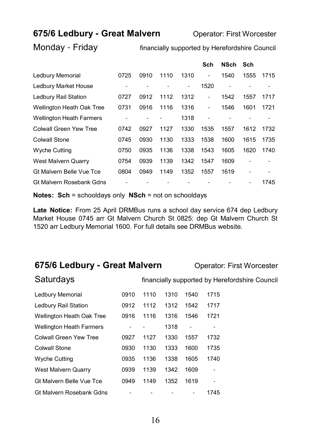#### **675/6 Ledbury - Great Malvern <b>Conservation**: First Worcester

Monday - Friday financially supported by Herefordshire Council

|                                  |      |      |      |      | Sch                      | <b>NSch</b> | Sch            |      |
|----------------------------------|------|------|------|------|--------------------------|-------------|----------------|------|
| Ledbury Memorial                 | 0725 | 0910 | 1110 | 1310 | ۰                        | 1540        | 1555           | 1715 |
| Ledbury Market House             |      |      |      | ۰    | 1520                     | ٠           |                | ۰    |
| Ledbury Rail Station             | 0727 | 0912 | 1112 | 1312 | ۰                        | 1542        | 1557           | 1717 |
| <b>Wellington Heath Oak Tree</b> | 0731 | 0916 | 1116 | 1316 | $\overline{\phantom{0}}$ | 1546        | 1601           | 1721 |
| <b>Wellington Heath Farmers</b>  |      |      |      | 1318 |                          |             |                |      |
| Colwall Green Yew Tree           | 0742 | 0927 | 1127 | 1330 | 1535                     | 1557        | 1612           | 1732 |
| Colwall Stone                    | 0745 | 0930 | 1130 | 1333 | 1538                     | 1600        | 1615           | 1735 |
| <b>Wyche Cutting</b>             | 0750 | 0935 | 1136 | 1338 | 1543                     | 1605        | 1620           | 1740 |
| West Malvern Quarry              | 0754 | 0939 | 1139 | 1342 | 1547                     | 1609        | ٠              | ۰    |
| Gt Malvern Belle Vue Tce         | 0804 | 0949 | 1149 | 1352 | 1557                     | 1619        | $\overline{a}$ | ۰    |
| Gt Malvern Rosebank Gdns         |      |      |      |      |                          |             |                | 1745 |

**Notes: Sch** = schooldays only **NSch** = not on schooldays

**Late Notice:** From 25 April DRMBus runs a school day service 674 dep Ledbury Market House 0745 arr Gt Malvern Church St 0825: dep Gt Malvern Church St 1520 arr Ledbury Memorial 1600. For full details see DRMBus website.

#### **675/6 Ledbury - Great Malvern <b>Conservation** Operator: First Worcester

|  | Saturdays |
|--|-----------|
|  |           |

financially supported by Herefordshire Council

| Ledbury Memorial                 | 0910 | 1110 | 1310 | 1540 | 1715 |
|----------------------------------|------|------|------|------|------|
| Ledbury Rail Station             | 0912 | 1112 | 1312 | 1542 | 1717 |
| <b>Wellington Heath Oak Tree</b> | 0916 | 1116 | 1316 | 1546 | 1721 |
| <b>Wellington Heath Farmers</b>  |      |      | 1318 | ٠    |      |
| Colwall Green Yew Tree           | 0927 | 1127 | 1330 | 1557 | 1732 |
| Colwall Stone                    | 0930 | 1130 | 1333 | 1600 | 1735 |
| <b>Wyche Cutting</b>             | 0935 | 1136 | 1338 | 1605 | 1740 |
| West Malvern Quarry              | 0939 | 1139 | 1342 | 1609 |      |
| Gt Malvern Belle Vue Tce         | 0949 | 1149 | 1352 | 1619 |      |
| Gt Malvern Rosebank Gdns         |      |      |      |      | 1745 |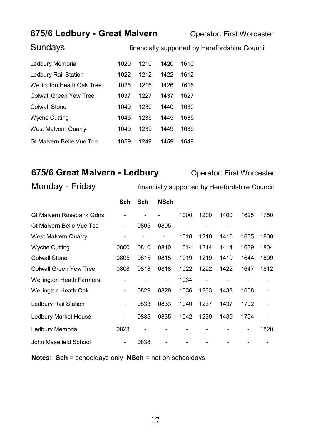#### **675/6 Ledbury - Great Malvern <b>Conservation** Operator: First Worcester

Sundays **financially supported by Herefordshire Council** 

| Ledbury Memorial                 | 1020 | 1210 | 1420 | 1610 |
|----------------------------------|------|------|------|------|
| Ledbury Rail Station             | 1022 | 1212 | 1422 | 1612 |
| <b>Wellington Heath Oak Tree</b> | 1026 | 1216 | 1426 | 1616 |
| Colwall Green Yew Tree           | 1037 | 1227 | 1437 | 1627 |
| <b>Colwall Stone</b>             | 1040 | 1230 | 1440 | 1630 |
| Wyche Cutting                    | 1045 | 1235 | 1445 | 1635 |
| <b>West Malvern Quarry</b>       | 1049 | 1239 | 1449 | 1639 |
| Gt Malvern Belle Vue Tce         | 1059 | 1249 | 1459 | 1649 |

#### **675/6 Great Malvern - Ledbury Operator: First Worcester**

Monday - Friday financially supported by Herefordshire Council

|                                 | Sch                          | Sch  | <b>NSch</b>              |      |                |      |      |      |
|---------------------------------|------------------------------|------|--------------------------|------|----------------|------|------|------|
| Gt Malvern Rosebank Gdns        |                              |      |                          | 1000 | 1200           | 1400 | 1625 | 1750 |
| Gt Malvern Belle Vue Tce        | ۰                            | 0805 | 0805                     | ۰    |                |      |      |      |
| West Malvern Quarry             |                              |      | ٠                        | 1010 | 1210           | 1410 | 1635 | 1800 |
| <b>Wyche Cutting</b>            | 0800                         | 0810 | 0810                     | 1014 | 1214           | 1414 | 1639 | 1804 |
| <b>Colwall Stone</b>            | 0805                         | 0815 | 0815                     | 1019 | 1219           | 1419 | 1644 | 1809 |
| Colwall Green Yew Tree          | 0808                         | 0818 | 0818                     | 1022 | 1222           | 1422 | 1647 | 1812 |
| <b>Wellington Heath Farmers</b> |                              |      | $\overline{\phantom{0}}$ | 1034 | $\overline{a}$ |      |      |      |
| Wellington Heath Oak            |                              | 0829 | 0829                     | 1036 | 1233           | 1433 | 1658 |      |
| Ledbury Rail Station            | $\qquad \qquad \blacksquare$ | 0833 | 0833                     | 1040 | 1237           | 1437 | 1702 |      |
| Ledbury Market House            | $\qquad \qquad \blacksquare$ | 0835 | 0835                     | 1042 | 1239           | 1439 | 1704 |      |
| Ledbury Memorial                | 0823                         |      |                          |      |                |      |      | 1820 |
| John Masefield School           |                              | 0838 |                          |      |                |      |      |      |

**Notes: Sch** = schooldays only **NSch** = not on schooldays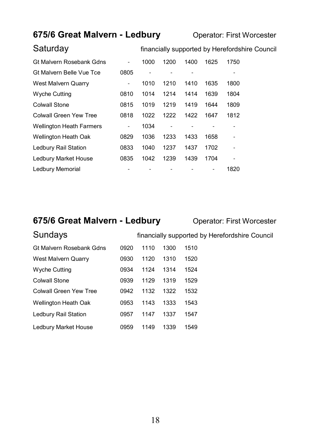#### **675/6 Great Malvern - Ledbury Operator: First Worcester**

Saturday **Saturday financially supported by Herefordshire Council** 

| Gt Malvern Rosebank Gdns        |      | 1000 | 1200 | 1400 | 1625 | 1750 |
|---------------------------------|------|------|------|------|------|------|
| Gt Malvern Belle Vue Tce        | 0805 |      |      |      |      |      |
| West Malvern Quarry             | ٠    | 1010 | 1210 | 1410 | 1635 | 1800 |
| <b>Wyche Cutting</b>            | 0810 | 1014 | 1214 | 1414 | 1639 | 1804 |
| Colwall Stone                   | 0815 | 1019 | 1219 | 1419 | 1644 | 1809 |
| Colwall Green Yew Tree          | 0818 | 1022 | 1222 | 1422 | 1647 | 1812 |
| <b>Wellington Heath Farmers</b> | ۰    | 1034 |      |      |      |      |
| <b>Wellington Heath Oak</b>     | 0829 | 1036 | 1233 | 1433 | 1658 |      |
| Ledbury Rail Station            | 0833 | 1040 | 1237 | 1437 | 1702 | ۰    |
| <b>Ledbury Market House</b>     | 0835 | 1042 | 1239 | 1439 | 1704 | ۰    |
| Ledbury Memorial                |      |      |      |      |      | 1820 |

#### **675/6 Great Malvern - Ledbury <b>Conduct** Operator: First Worcester

| Sundays                  | financially supported by Herefordshire Council |      |      |      |  |  |
|--------------------------|------------------------------------------------|------|------|------|--|--|
| Gt Malvern Rosebank Gdns | 0920                                           | 1110 | 1300 | 1510 |  |  |
| West Malvern Quarry      | 0930                                           | 1120 | 1310 | 1520 |  |  |
| <b>Wyche Cutting</b>     | 0934                                           | 1124 | 1314 | 1524 |  |  |
| <b>Colwall Stone</b>     | 0939                                           | 1129 | 1319 | 1529 |  |  |
| Colwall Green Yew Tree   | 0942                                           | 1132 | 1322 | 1532 |  |  |
| Wellington Heath Oak     | 0953                                           | 1143 | 1333 | 1543 |  |  |
| Ledbury Rail Station     | 0957                                           | 1147 | 1337 | 1547 |  |  |
| Ledbury Market House     | 0959                                           | 1149 | 1339 | 1549 |  |  |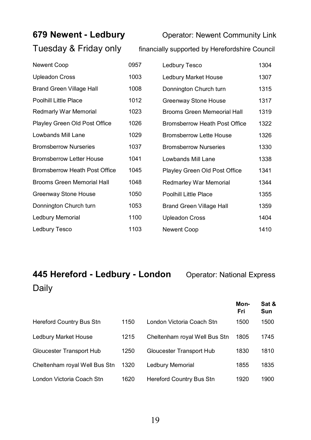# Tuesday & Friday only financially supported by Herefordshire Council

**679 Newent - Ledbury Operator: Newent Community Link** 

| Newent Coop                       | 0957 | Ledbury Tesco                   | 1304 |
|-----------------------------------|------|---------------------------------|------|
| <b>Upleadon Cross</b>             | 1003 | Ledbury Market House            | 1307 |
| <b>Brand Green Village Hall</b>   | 1008 | Donnington Church turn          | 1315 |
| Poolhill Little Place             | 1012 | Greenway Stone House            | 1317 |
| Redmarly War Memorial             | 1023 | Brooms Green Memeorial Hall     | 1319 |
| Playley Green Old Post Office     | 1026 | Bromsberrow Heath Post Office   | 1322 |
| Lowbands Mill Lane                | 1029 | <b>Bromsberrow Lette House</b>  | 1326 |
| <b>Bromsberrow Nurseries</b>      | 1037 | <b>Bromsberrow Nurseries</b>    | 1330 |
| <b>Bromsberrow Letter House</b>   | 1041 | Lowbands Mill Lane              | 1338 |
| Bromsberrow Heath Post Office     | 1045 | Playley Green Old Post Office   | 1341 |
| <b>Brooms Green Memorial Hall</b> | 1048 | Redmarley War Memorial          | 1344 |
| Greenway Stone House              | 1050 | <b>Poolhill Little Place</b>    | 1355 |
| Donnington Church turn            | 1053 | <b>Brand Green Village Hall</b> | 1359 |
| Ledbury Memorial                  | 1100 | <b>Upleadon Cross</b>           | 1404 |
| Ledbury Tesco                     | 1103 | Newent Coop                     | 1410 |

### **445 Hereford - Ledbury - London** Operator: National Express Daily

Hereford Country Bus Stn 1150 Ledbury Market House 1215 Gloucester Transport Hub 1250 Cheltenham royal Well Bus Stn 1320 London Victoria Coach Stn 1620 **Mon- Fri Sat & Sun** London Victoria Coach Stn 1500 1500 Cheltenham royal Well Bus Stn 1805 1745 Gloucester Transport Hub 1830 1810 Ledbury Memorial 1855 1835 Hereford Country Bus Stn 1920 1900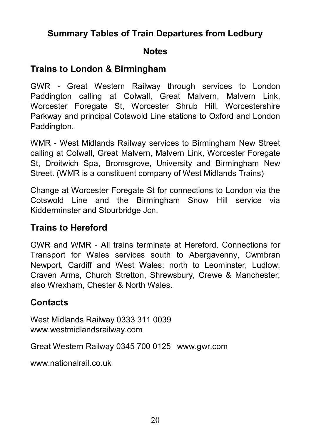### **Summary Tables of Train Departures from Ledbury**

#### **Notes**

### **Trains to London & Birmingham**

GWR - Great Western Railway through services to London Paddington calling at Colwall, Great Malvern, Malvern Link, Worcester Foregate St, Worcester Shrub Hill, Worcestershire Parkway and principal Cotswold Line stations to Oxford and London Paddington.

WMR - West Midlands Railway services to Birmingham New Street calling at Colwall, Great Malvern, Malvern Link, Worcester Foregate St, Droitwich Spa, Bromsgrove, University and Birmingham New Street. (WMR is a constituent company of West Midlands Trains)

Change at Worcester Foregate St for connections to London via the Cotswold Line and the Birmingham Snow Hill service via Kidderminster and Stourbridge Jcn.

#### **Trains to Hereford**

GWR and WMR - All trains terminate at Hereford. Connections for Transport for Wales services south to Abergavenny, Cwmbran Newport, Cardiff and West Wales: north to Leominster, Ludlow, Craven Arms, Church Stretton, Shrewsbury, Crewe & Manchester; also Wrexham, Chester & North Wales.

### **Contacts**

West Midlands Railway 0333 311 0039 www.westmidlandsrailway.com

Great Western Railway 0345 700 0125 www.gwr.com

www.nationalrail.co.uk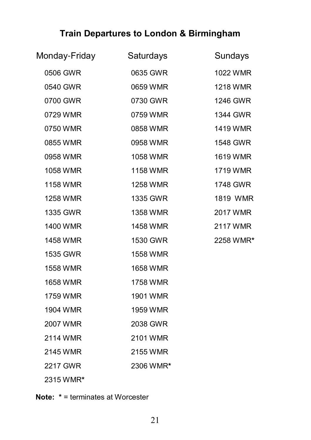### **Train Departures to London & Birmingham**

| Monday-Friday   | Saturdays | Sundays   |
|-----------------|-----------|-----------|
| 0506 GWR        | 0635 GWR  | 1022 WMR  |
| 0540 GWR        | 0659 WMR  | 1218 WMR  |
| 0700 GWR        | 0730 GWR  | 1246 GWR  |
| 0729 WMR        | 0759 WMR  | 1344 GWR  |
| 0750 WMR        | 0858 WMR  | 1419 WMR  |
| 0855 WMR        | 0958 WMR  | 1548 GWR  |
| 0958 WMR        | 1058 WMR  | 1619 WMR  |
| 1058 WMR        | 1158 WMR  | 1719 WMR  |
| 1158 WMR        | 1258 WMR  | 1748 GWR  |
| <b>1258 WMR</b> | 1335 GWR  | 1819 WMR  |
| 1335 GWR        | 1358 WMR  | 2017 WMR  |
| 1400 WMR        | 1458 WMR  | 2117 WMR  |
| 1458 WMR        | 1530 GWR  | 2258 WMR* |
| 1535 GWR        | 1558 WMR  |           |
| 1558 WMR        | 1658 WMR  |           |
| 1658 WMR        | 1758 WMR  |           |
| 1759 WMR        | 1901 WMR  |           |
| 1904 WMR        | 1959 WMR  |           |
| 2007 WMR        | 2038 GWR  |           |
| 2114 WMR        | 2101 WMR  |           |
| 2145 WMR        | 2155 WMR  |           |
| 2217 GWR        | 2306 WMR* |           |
| 2315 WMR*       |           |           |

**Note: \*** = terminates at Worcester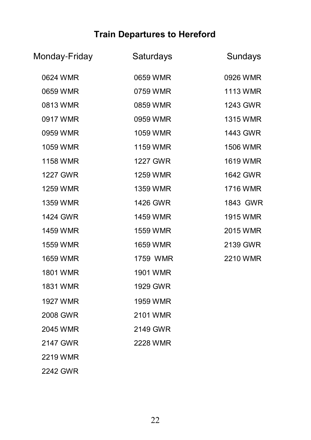### **Train Departures to Hereford**

| Monday-Friday | Saturdays       | Sundays  |
|---------------|-----------------|----------|
| 0624 WMR      | 0659 WMR        | 0926 WMR |
| 0659 WMR      | 0759 WMR        | 1113 WMR |
| 0813 WMR      | 0859 WMR        | 1243 GWR |
| 0917 WMR      | 0959 WMR        | 1315 WMR |
| 0959 WMR      | 1059 WMR        | 1443 GWR |
| 1059 WMR      | 1159 WMR        | 1506 WMR |
| 1158 WMR      | <b>1227 GWR</b> | 1619 WMR |
| 1227 GWR      | 1259 WMR        | 1642 GWR |
| 1259 WMR      | 1359 WMR        | 1716 WMR |
| 1359 WMR      | 1426 GWR        | 1843 GWR |
| 1424 GWR      | 1459 WMR        | 1915 WMR |
| 1459 WMR      | 1559 WMR        | 2015 WMR |
| 1559 WMR      | 1659 WMR        | 2139 GWR |
| 1659 WMR      | 1759 WMR        | 2210 WMR |
| 1801 WMR      | 1901 WMR        |          |
| 1831 WMR      | 1929 GWR        |          |
| 1927 WMR      | 1959 WMR        |          |
| 2008 GWR      | 2101 WMR        |          |
| 2045 WMR      | 2149 GWR        |          |
| 2147 GWR      | 2228 WMR        |          |
| 2219 WMR      |                 |          |
|               |                 |          |

2242 GWR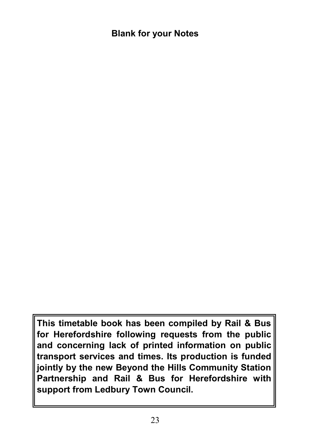### **Blank for your Notes**

**This timetable book has been compiled by Rail & Bus for Herefordshire following requests from the public and concerning lack of printed information on public transport services and times. Its production is funded jointly by the new Beyond the Hills Community Station Partnership and Rail & Bus for Herefordshire with support from Ledbury Town Council.**